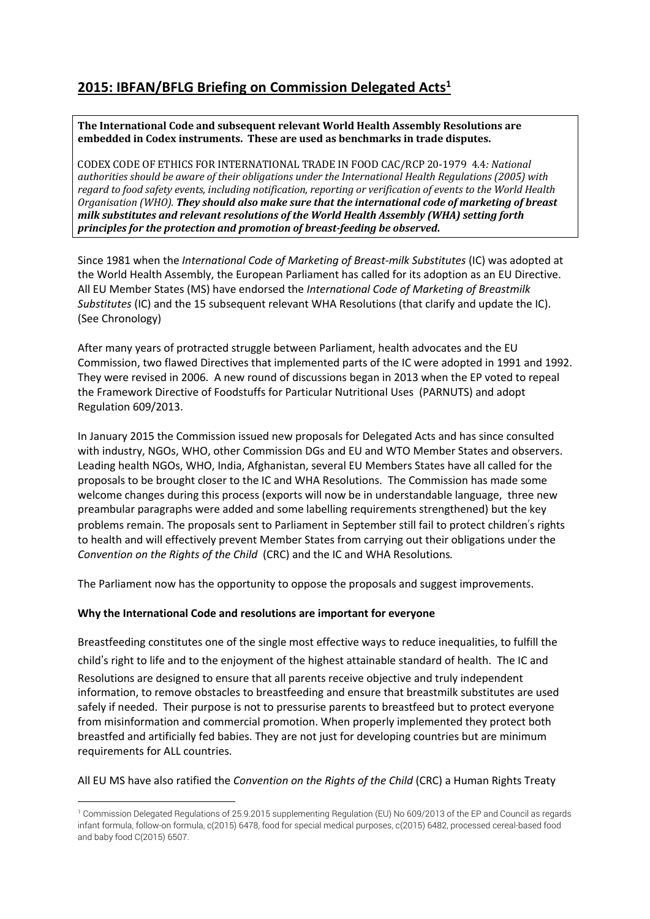## **2015: IBFAN/BFLG Briefing on Commission Delegated Acts1**

#### **The International Code and subsequent relevant World Health Assembly Resolutions are embedded in Codex instruments. These are used as benchmarks in trade disputes.**

CODEX CODE OF ETHICS FOR INTERNATIONAL TRADE IN FOOD CAC/RCP 20-1979 4.4*: National authorities should be aware of their obligations under the International Health Regulations (2005) with regard to food safety events, including notification, reporting or verification of events to the World Health Organisation (WHO). They should also make sure that the international code of marketing of breast milk substitutes and relevant resolutions of the World Health Assembly (WHA) setting forth principles for the protection and promotion of breast-feeding be observed***.**

Since 1981 when the *International Code of Marketing of Breast-milk Substitutes* (IC) was adopted at the World Health Assembly, the European Parliament has called for its adoption as an EU Directive. All EU Member States (MS) have endorsed the *International Code of Marketing of Breastmilk Substitutes* (IC) and the 15 subsequent relevant WHA Resolutions (that clarify and update the IC). (See Chronology)

After many years of protracted struggle between Parliament, health advocates and the EU Commission, two flawed Directives that implemented parts of the IC were adopted in 1991 and 1992. They were revised in 2006. A new round of discussions began in 2013 when the EP voted to repeal the Framework Directive of Foodstuffs for Particular Nutritional Uses (PARNUTS) and adopt Regulation 609/2013.

In January 2015 the Commission issued new proposals for Delegated Acts and has since consulted with industry, NGOs, WHO, other Commission DGs and EU and WTO Member States and observers. Leading health NGOs, WHO, India, Afghanistan, several EU Members States have all called for the proposals to be brought closer to the IC and WHA Resolutions. The Commission has made some welcome changes during this process (exports will now be in understandable language, three new preambular paragraphs were added and some labelling requirements strengthened) but the key problems remain. The proposals sent to Parliament in September still fail to protect children's rights to health and will effectively prevent Member States from carrying out their obligations under the *Convention on the Rights of the Child* (CRC) and the IC and WHA Resolutions*.*

The Parliament now has the opportunity to oppose the proposals and suggest improvements.

### **Why the International Code and resolutions are important for everyone**

Breastfeeding constitutes one of the single most effective ways to reduce inequalities, to fulfill the child's right to life and to the enjoyment of the highest attainable standard of health.The IC and Resolutions are designed to ensure that all parents receive objective and truly independent information, to remove obstacles to breastfeeding and ensure that breastmilk substitutes are used safely if needed. Their purpose is not to pressurise parents to breastfeed but to protect everyone from misinformation and commercial promotion. When properly implemented they protect both breastfed and artificially fed babies. They are not just for developing countries but are minimum requirements for ALL countries.

### All EU MS have also ratified the *Convention on the Rights of the Child* (CRC) a Human Rights Treaty

<sup>1</sup> Commission Delegated Regulations of 25.9.2015 supplementing Regulation (EU) No 609/2013 of the EP and Council as regards infant formula, follow-on formula, c(2015) 6478, food for special medical purposes, c(2015) 6482, processed cereal-based food and baby food C(2015) 6507.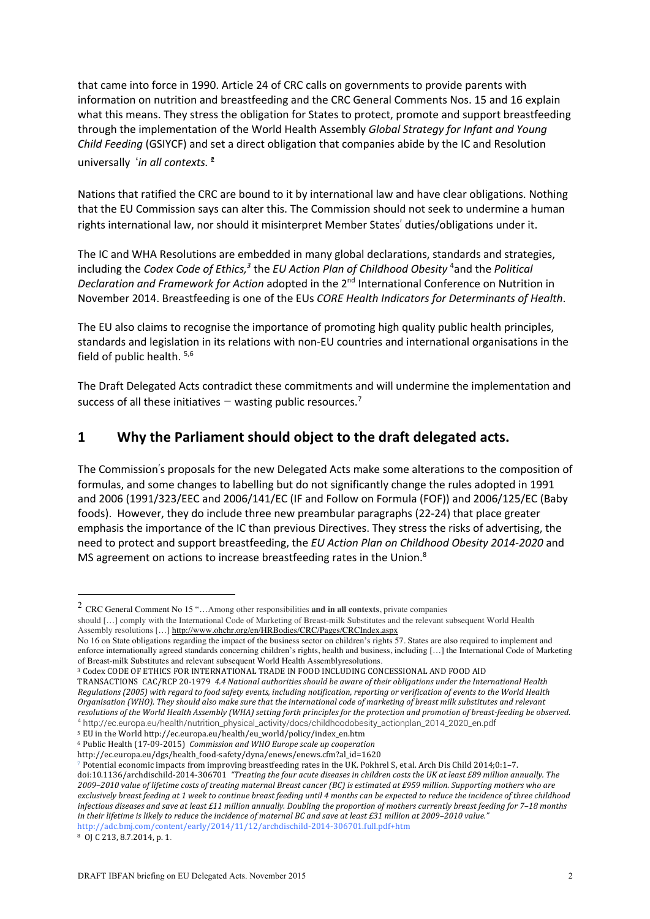that came into force in 1990. Article 24 of CRC calls on governments to provide parents with information on nutrition and breastfeeding and the CRC General Comments Nos. 15 and 16 explain what this means. They stress the obligation for States to protect, promote and support breastfeeding through the implementation of the World Health Assembly *Global Strategy for Infant and Young Child Feeding* (GSIYCF) and set a direct obligation that companies abide by the IC and Resolution universally '*in all contexts.*' 2

Nations that ratified the CRC are bound to it by international law and have clear obligations. Nothing that the EU Commission says can alter this. The Commission should not seek to undermine a human rights international law, nor should it misinterpret Member States' duties/obligations under it.

The IC and WHA Resolutions are embedded in many global declarations, standards and strategies, including the *Codex Code of Ethics,3* the *EU Action Plan of Childhood Obesity* <sup>4</sup> and the *Political Declaration and Framework for Action* adopted in the 2nd International Conference on Nutrition in November 2014. Breastfeeding is one of the EUs *CORE Health Indicators for Determinants of Health*.

The EU also claims to recognise the importance of promoting high quality public health principles, standards and legislation in its relations with non-EU countries and international organisations in the field of public health.<sup>5,6</sup>

The Draft Delegated Acts contradict these commitments and will undermine the implementation and success of all these initiatives – wasting public resources.<sup>7</sup>

### **1 Why the Parliament should object to the draft delegated acts.**

The Commission's proposals for the new Delegated Acts make some alterations to the composition of formulas, and some changes to labelling but do not significantly change the rules adopted in 1991 and 2006 (1991/323/EEC and 2006/141/EC (IF and Follow on Formula (FOF)) and 2006/125/EC (Baby foods). However, they do include three new preambular paragraphs (22-24) that place greater emphasis the importance of the IC than previous Directives. They stress the risks of advertising, the need to protect and support breastfeeding, the *EU Action Plan on Childhood Obesity 2014-2020* and MS agreement on actions to increase breastfeeding rates in the Union.<sup>8</sup>

<sup>2</sup> CRC General Comment No <sup>15</sup> "…Among other responsibilities **and in all contexts**, private companies

should [...] comply with the International Code of Marketing of Breast-milk Substitutes and the relevant subsequent World Health Assembly resolutions […] http://www.ohchr.org/en/HRBodies/CRC/Pages/CRCIndex.aspx

No 16 on State obligations regarding the impact of the business sector on children's rights 57. States are also required to implement and enforce internationally agreed standards concerning children's rights, health and business, including […] the International Code of Marketing of Breast-milk Substitutes and relevant subsequent World Health Assemblyresolutions.

<sup>3</sup> Codex CODE OF ETHICS FOR INTERNATIONAL TRADE IN FOOD INCLUDING CONCESSIONAL AND FOOD AID

TRANSACTIONS CAC/RCP 20-1979 *4.4 National authorities should be aware of their obligations under the International Health* Regulations (2005) with regard to food safety events, including notification, reporting or verification of events to the World Health Organisation (WHO). They should also make sure that the international code of marketing of breast milk substitutes and relevant resolutions of the World Health Assembly (WHA) setting forth principles for the protection and promotion of breast-feeding be observed. <sup>4</sup> http://ec.europa.eu/health/nutrition\_physical\_activity/docs/childhoodobesity\_actionplan\_2014\_2020\_en.pdf

<sup>5</sup> EU in the World http://ec.europa.eu/health/eu\_world/policy/index\_en.htm

<sup>6</sup> Public Health (17-09-2015) *Commission and WHO Europe scale up cooperation* 

http://ec.europa.eu/dgs/health\_food-safety/dyna/enews/enews.cfm?al\_id=1620

<sup>7</sup> Potential economic impacts from improving breastfeeding rates in the UK. Pokhrel S, et al. Arch Dis Child 2014;0:1–7.

doi:10.1136/archdischild-2014-306701 "Treating the four acute diseases in children costs the UK at least £89 million annually. The 2009-2010 value of lifetime costs of treating maternal Breast cancer (BC) is estimated at £959 million. Supporting mothers who are exclusively breast feeding at 1 week to continue breast feeding until 4 months can be expected to reduce the incidence of three childhood infectious diseases and save at least £11 million annually. Doubling the proportion of mothers currently breast feeding for 7-18 months in their lifetime is likely to reduce the incidence of maternal BC and save at least £31 million at 2009-2010 value." http://adc.bmj.com/content/early/2014/11/12/archdischild-2014-306701.full.pdf+htm

<sup>8</sup> OJ C 213, 8.7.2014, p. 1.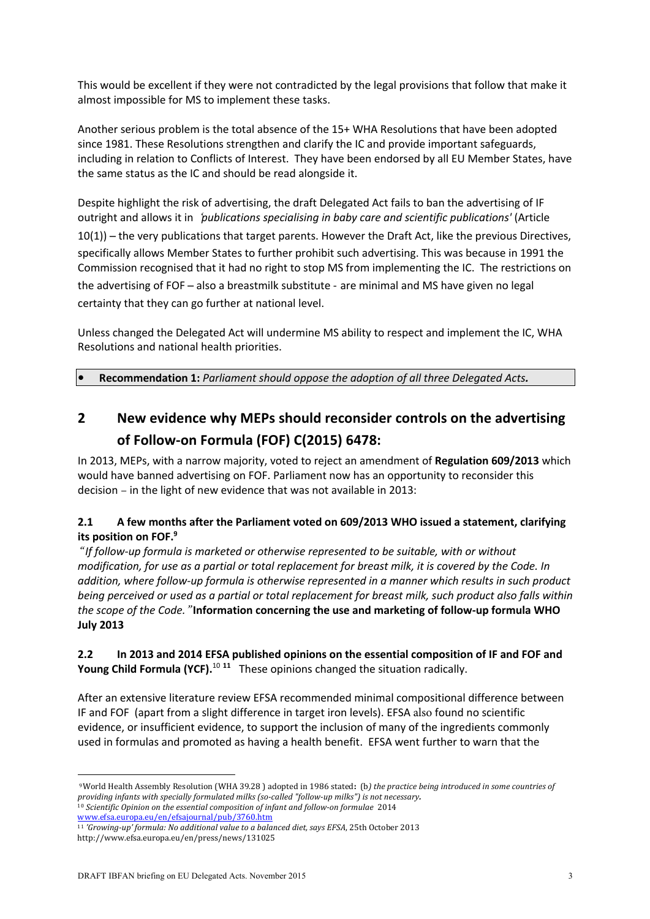This would be excellent if they were not contradicted by the legal provisions that follow that make it almost impossible for MS to implement these tasks.

Another serious problem is the total absence of the 15+ WHA Resolutions that have been adopted since 1981. These Resolutions strengthen and clarify the IC and provide important safeguards, including in relation to Conflicts of Interest. They have been endorsed by all EU Member States, have the same status as the IC and should be read alongside it.

Despite highlight the risk of advertising, the draft Delegated Act fails to ban the advertising of IF outright and allows it in '*publications specialising in baby care and scientific publications'* (Article 10(1)) – the very publications that target parents. However the Draft Act, like the previous Directives, specifically allows Member States to further prohibit such advertising. This was because in 1991 the Commission recognised that it had no right to stop MS from implementing the IC. The restrictions on the advertising of FOF – also a breastmilk substitute - are minimal and MS have given no legal certainty that they can go further at national level.

Unless changed the Delegated Act will undermine MS ability to respect and implement the IC, WHA Resolutions and national health priorities.

**• Recommendation 1:** *Parliament should oppose the adoption of all three Delegated Acts.*

**2 New evidence why MEPs should reconsider controls on the advertising of Follow-on Formula (FOF) C(2015) 6478:**

In 2013, MEPs, with a narrow majority, voted to reject an amendment of **Regulation 609/2013** which would have banned advertising on FOF. Parliament now has an opportunity to reconsider this decision – in the light of new evidence that was not available in 2013:

### **2.1 A few months after the Parliament voted on 609/2013 WHO issued a statement, clarifying its position on FOF. 9**

" *If follow-up formula is marketed or otherwise represented to be suitable, with or without* modification, for use as a partial or total replacement for breast milk, it is covered by the Code. In *addition, where follow-up formula is otherwise represented in a manner which results in such product* being perceived or used as a partial or total replacement for breast milk, such product also falls within *the scope of the Code.*" **Information concerning the use and marketing of follow-up formula WHO July 2013**

**2.2 In 2013 and 2014 EFSA published opinions on the essential composition of IF and FOF and Young Child Formula (YCF).** <sup>10</sup> **<sup>11</sup>** These opinions changed the situation radically.

After an extensive literature review EFSA recommended minimal compositional difference between IF and FOF (apart from a slight difference in target iron levels). EFSA also found no scientific evidence, or insufficient evidence, to support the inclusion of many of the ingredients commonly used in formulas and promoted as having a health benefit. EFSA went further to warn that the

<sup>9</sup>World Health Assembly Resolution (WHA 39.28 ) adopted in 1986 stated**:** (b*) the practice being introduced in some countries of providing infants with specially formulated milks (so-called "follow-up milks") is not necessary.* <sup>10</sup> *Scientific Opinion on the essential composition of infant and follow-on formulae* 2014 www.efsa.europa.eu/en/efsajournal/pub/3760.htm

<sup>11</sup> *'Growing-up' formula: No additional value to a balanced diet, says EFSA*, 25th October 2013 http://www.efsa.europa.eu/en/press/news/131025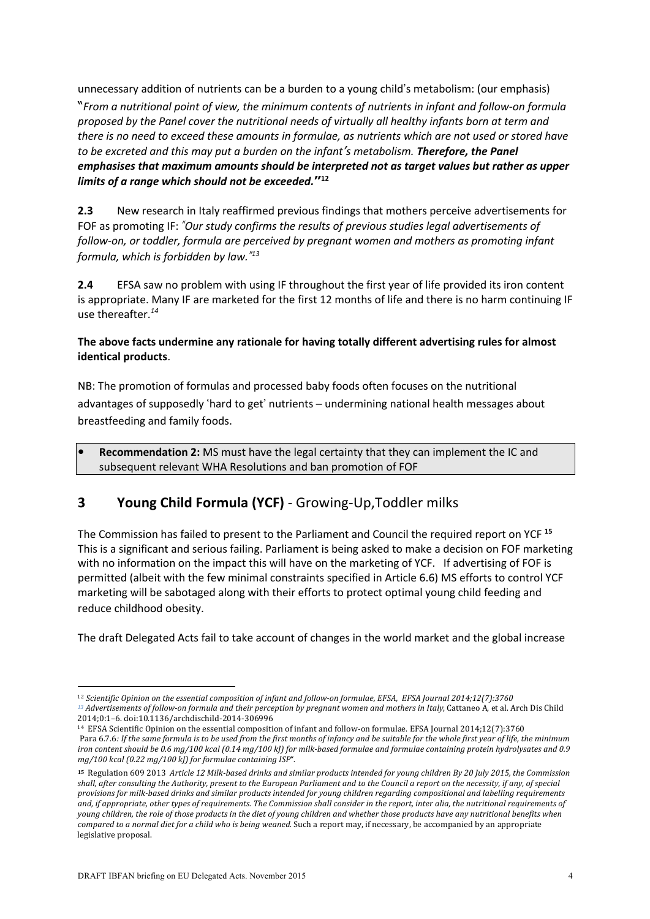unnecessary addition of nutrients can be a burden to a young child's metabolism: (our emphasis) "*From a nutritional point of view, the minimum contents of nutrients in infant and follow-on formula proposed by the Panel cover the nutritional needs of virtually all healthy infants born at term and* there is no need to exceed these amounts in formulae, as nutrients which are not used or stored have *to be excreted and this may put a burden on the infant's metabolism. Therefore, the Panel emphasises that maximum amounts should be interpreted not as target values but rather as upper limits of a range which should not be exceeded.***"<sup>12</sup>**

**2.3** New research in Italy reaffirmed previous findings that mothers perceive advertisements for FOF as promoting IF: *"Our study confirms the results of previous studies legal advertisements of follow-on, or toddler, formula are perceived by pregnant women and mothers as promoting infant formula, which is forbidden by law." 13*

**2.4** EFSA saw no problem with using IF throughout the first year of life provided its iron content is appropriate. Many IF are marketed for the first 12 months of life and there is no harm continuing IF use thereafter. *14*

### **The above facts undermine any rationale for having totally different advertising rules for almost identical products**.

NB: The promotion of formulas and processed baby foods often focuses on the nutritional advantages of supposedly 'hard to get' nutrients – undermining national health messages about breastfeeding and family foods.

**• Recommendation 2:** MS must have the legal certainty that they can implement the IC and subsequent relevant WHA Resolutions and ban promotion of FOF

# **3 Young Child Formula (YCF)** - Growing-Up,Toddler milks

The Commission has failed to present to the Parliament and Council the required report on YCF **<sup>15</sup>** This is a significant and serious failing. Parliament is being asked to make a decision on FOF marketing with no information on the impact this will have on the marketing of YCF. If advertising of FOF is permitted (albeit with the few minimal constraints specified in Article 6.6) MS efforts to control YCF marketing will be sabotaged along with their efforts to protect optimal young child feeding and reduce childhood obesity.

The draft Delegated Acts fail to take account of changes in the world market and the global increase

<sup>12</sup> *Scientific Opinion on the essential composition of infant and follow-on formulae, EFSA, EFSA Journal 2014;12(7):3760* <sup>13</sup> Advertisements of follow-on formula and their perception by pregnant women and mothers in Italy, Cattaneo A, et al. Arch Dis Child

<sup>2014;0:1–6.</sup> doi:10.1136/archdischild-2014-306996

<sup>14</sup> EFSA Scientific Opinion on the essential composition of infant and follow-on formulae. EFSA Journal 2014;12(7):3760 Para 6.7.6: If the same formula is to be used from the first months of infancy and be suitable for the whole first year of life, the minimum iron content should be 0.6 mg/100 kcal (0.14 mg/100 kJ) for milk-based formulae and formulae containing protein hydrolysates and 0.9 *mg/100 kcal (0.22 mg/100 kJ) for formulae containing ISP*".

<sup>&</sup>lt;sup>15</sup> Regulation 609 2013 Article 12 Milk-based drinks and similar products intended for young children By 20 July 2015, the Commission shall, after consulting the Authority, present to the European Parliament and to the Council a report on the necessity, if any, of special provisions for milk-based drinks and similar products intended for young children regarding compositional and labelling requirements and, if appropriate, other types of requirements. The Commission shall consider in the report, inter alia, the nutritional requirements of young children, the role of those products in the diet of young children and whether those products have any nutritional benefits when *compared to a normal diet for a child who is being weaned.* Such a report may, if necessary, be accompanied by an appropriate legislative proposal.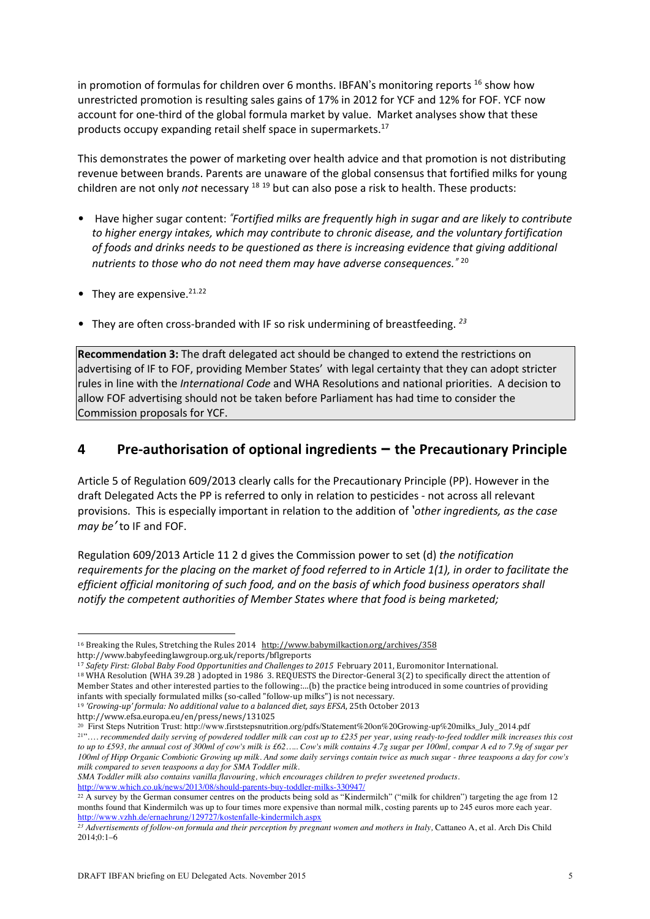in promotion of formulas for children over 6 months. IBFAN's monitoring reports  $^{16}$  show how unrestricted promotion is resulting sales gains of 17% in 2012 for YCF and 12% for FOF. YCF now account for one-third of the global formula market by value. Market analyses show that these products occupy expanding retail shelf space in supermarkets.<sup>17</sup>

This demonstrates the power of marketing over health advice and that promotion is not distributing revenue between brands. Parents are unaware of the global consensus that fortified milks for young children are not only *not* necessary <sup>18</sup> <sup>19</sup> but can also pose a risk to health. These products:

- Have higher sugar content: *"Fortified milks are frequently high in sugar and are likely to contribute to higher energy intakes, which may contribute to chronic disease, and the voluntary fortification of foods and drinks needs to be questioned as there is increasing evidence that giving additional nutrients to those who do not need them may have adverse consequences."* <sup>20</sup>
- They are expensive.  $21.22$
- They are often cross-branded with IF so risk undermining of breastfeeding. *<sup>23</sup>*

**Recommendation 3:** The draft delegated act should be changed to extend the restrictions on advertising of IF to FOF, providing Member States' with legal certainty that they can adopt stricter rules in line with the *International Code* and WHA Resolutions and national priorities. A decision to allow FOF advertising should not be taken before Parliament has had time to consider the Commission proposals for YCF.

### **4 Pre-authorisation of optional ingredients – the Precautionary Principle**

Article 5 of Regulation 609/2013 clearly calls for the Precautionary Principle (PP). However in the draft Delegated Acts the PP is referred to only in relation to pesticides - not across all relevant provisions. This is especially important in relation to the addition of *'other ingredients, as the case may be'* to IF and FOF.

Regulation 609/2013 Article 11 2 d gives the Commission power to set (d) *the notification* requirements for the placing on the market of food referred to in Article 1(1), in order to facilitate the *efficient official monitoring of such food, and on the basis of which food business operators shall notify the competent authorities of Member States where that food is being marketed;*

<sup>17</sup> *Safety First: Global Baby Food Opportunities and Challenges to 2015* February 2011, Euromonitor International. <sup>18</sup> WHA Resolution (WHA 39.28 ) adopted in 1986 3. REQUESTS the Director-General 3(2) to specifically direct the attention of

Member States and other interested parties to the following:…(b) the practice being introduced in some countries of providing infants with specially formulated milks (so-called "follow-up milks") is not necessary.

http://www.which.co.uk/news/2013/08/should-parents-buy-toddler-milks-330947/

<sup>&</sup>lt;sup>16</sup> Breaking the Rules, Stretching the Rules 2014 http://www.babymilkaction.org/archives/358

http://www.babyfeedinglawgroup.org.uk/reports/bflgreports

<sup>19</sup> *'Growing-up' formula: No additional value to a balanced diet, says EFSA*, 25th October 2013

http://www.efsa.europa.eu/en/press/news/131025

<sup>&</sup>lt;sup>20</sup> First Steps Nutrition Trust: http://www.firststepsnutrition.org/pdfs/Statement%20on%20Growing-up%20milks\_July\_2014.pdf <sup>21"</sup>.... recommended daily serving of powdered toddler milk can cost up to £235 per year, using ready-to-feed toddler milk increases this cost to up to £593, the annual cost of 300ml of cow's milk is £62..... Cow's milk contains 4.7g sugar per 100ml, compar A ed to 7.9g of sugar per 100ml of Hipp Organic Combiotic Growing up milk. And some daily servings contain twice as much sugar - three teaspoons a day for cow's *milk compared to seven teaspoons a day for SMA Toddler milk.*

*SMA Toddler milk also contains vanilla flavouring, which encourages children to prefer sweetened products.*

 $^{22}$  A survey by the German consumer centres on the products being sold as "Kindermilch" ("milk for children") targeting the age from 12 months found that Kindermilch was up to four times more expensive than normal milk, costing parents up to 245 euros more each year. http://www.vzhh.de/ernaehrung/129727/kostenfalle-kindermilch.aspx

<sup>&</sup>lt;sup>23</sup> Advertisements of follow-on formula and their perception by pregnant women and mothers in Italy, Cattaneo A, et al. Arch Dis Child 2014;0:1–6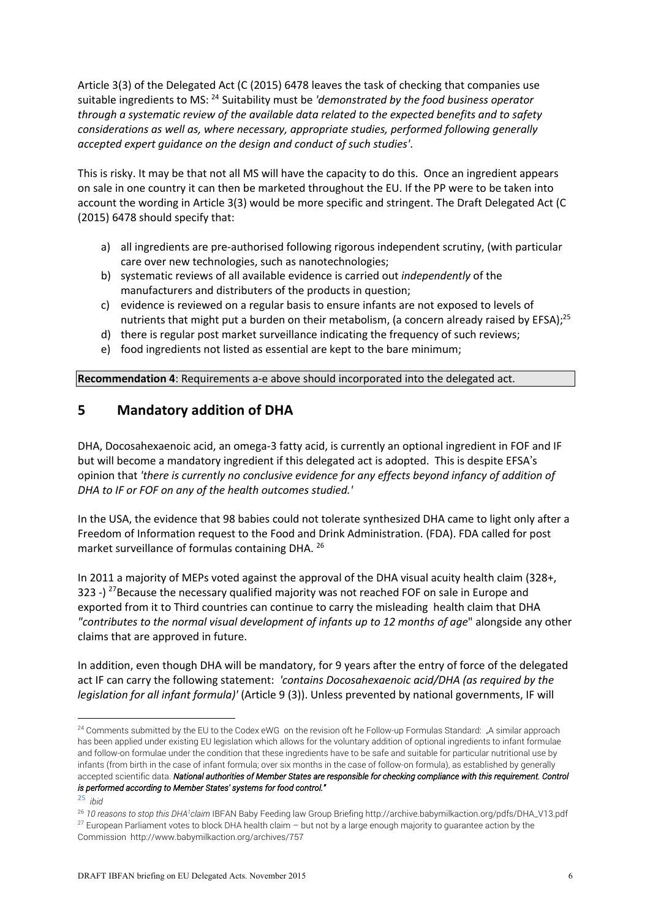Article 3(3) of the Delegated Act (C (2015) 6478 leaves the task of checking that companies use suitable ingredients to MS: <sup>24</sup> Suitability must be *'demonstrated by the food business operator through a systematic review of the available data related to the expected benefits and to safety considerations as well as, where necessary, appropriate studies, performed following generally accepted expert guidance on the design and conduct of such studies'*.

This is risky. It may be that not all MS will have the capacity to do this. Once an ingredient appears on sale in one country it can then be marketed throughout the EU. If the PP were to be taken into account the wording in Article 3(3) would be more specific and stringent. The Draft Delegated Act (C (2015) 6478 should specify that:

- a) all ingredients are pre-authorised following rigorous independent scrutiny, (with particular care over new technologies, such as nanotechnologies;
- b) systematic reviews of all available evidence is carried out *independently* of the manufacturers and distributers of the products in question;
- c) evidence is reviewed on a regular basis to ensure infants are not exposed to levels of nutrients that might put a burden on their metabolism, (a concern already raised by EFSA);<sup>25</sup>
- d) there is regular post market surveillance indicating the frequency of such reviews;
- e) food ingredients not listed as essential are kept to the bare minimum;

**Recommendation 4**: Requirements a-e above should incorporated into the delegated act.

## **5 Mandatory addition of DHA**

DHA, Docosahexaenoic acid, an omega-3 fatty acid, is currently an optional ingredient in FOF and IF but will become a mandatory ingredient if this delegated act is adopted. This is despite EFSA's opinion that *'there is currently no conclusive evidence for any effects beyond infancy of addition of DHA to IF or FOF on any of the health outcomes studied.'*

In the USA, the evidence that 98 babies could not tolerate synthesized DHA came to light only after a Freedom of Information request to the Food and Drink Administration. (FDA). FDA called for post market surveillance of formulas containing DHA. <sup>26</sup>

In 2011 a majority of MEPs voted against the approval of the DHA visual acuity health claim (328+, 323 -) <sup>27</sup>Because the necessary qualified majority was not reached FOF on sale in Europe and exported from it to Third countries can continue to carry the misleading health claim that DHA *"contributes to the normal visual development of infants up to 12 months of age*" alongside any other claims that are approved in future.

In addition, even though DHA will be mandatory, for 9 years after the entry of force of the delegated act IF can carry the following statement: *'contains Docosahexaenoic acid/DHA (as required by the legislation for all infant formula)'* (Article 9 (3)). Unless prevented by national governments, IF will

<sup>25</sup> *ibid* 

 $24$  Comments submitted by the EU to the Codex eWG on the revision oft he Follow-up Formulas Standard: "A similar approach has been applied under existing EU legislation which allows for the voluntary addition of optional ingredients to infant formulae and follow-on formulae under the condition that these ingredients have to be safe and suitable for particular nutritional use by infants (from birth in the case of infant formula; over six months in the case of follow-on formula), as established by generally accepted scientific data. *National authorities of Member States are responsible for checking compliance with this requirement. Control is performed according to Member States' systems for food control."* 

<sup>26</sup> *10 reasons to stop this DHA<sup>1</sup> claim* IBFAN Baby Feeding law Group Briefing http://archive.babymilkaction.org/pdfs/DHA\_V13.pdf  $27$  European Parliament votes to block DHA health claim  $-$  but not by a large enough majority to guarantee action by the

Commission http://www.babymilkaction.org/archives/757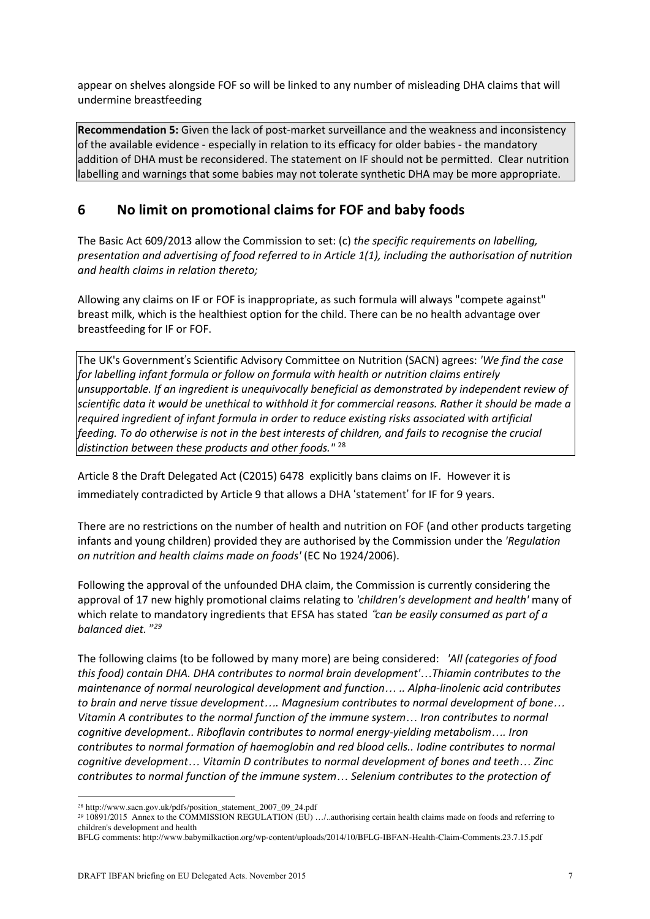appear on shelves alongside FOF so will be linked to any number of misleading DHA claims that will undermine breastfeeding

**Recommendation 5:** Given the lack of post-market surveillance and the weakness and inconsistency of the available evidence - especially in relation to its efficacy for older babies - the mandatory addition of DHA must be reconsidered. The statement on IF should not be permitted. Clear nutrition labelling and warnings that some babies may not tolerate synthetic DHA may be more appropriate.

## **6 No limit on promotional claims for FOF and baby foods**

The Basic Act 609/2013 allow the Commission to set: (c) *the specific requirements on labelling, presentation and advertising of food referred to in Article 1(1), including the authorisation of nutrition and health claims in relation thereto;*

Allowing any claims on IF or FOF is inappropriate, as such formula will always "compete against" breast milk, which is the healthiest option for the child. There can be no health advantage over breastfeeding for IF or FOF.

The UK's Government's Scientific Advisory Committee on Nutrition (SACN) agrees: *'We find the case for labelling infant formula or follow on formula with health or nutrition claims entirely unsupportable. If an ingredient is unequivocally beneficial as demonstrated by independent review of* scientific data it would be unethical to withhold it for commercial reasons. Rather it should be made a *required ingredient of infant formula in order to reduce existing risks associated with artificial* feeding. To do otherwise is not in the best interests of children, and fails to recognise the crucial *distinction between these products and other foods."* <sup>28</sup>

Article 8 the Draft Delegated Act (C2015) 6478 explicitly bans claims on IF. However it is immediately contradicted by Article 9 that allows a DHA 'statement' for IF for 9 years.

There are no restrictions on the number of health and nutrition on FOF (and other products targeting infants and young children) provided they are authorised by the Commission under the *'Regulation on nutrition and health claims made on foods'* (EC No 1924/2006).

Following the approval of the unfounded DHA claim, the Commission is currently considering the approval of 17 new highly promotional claims relating to *'children's development and health'* many of which relate to mandatory ingredients that EFSA has stated "*can be easily consumed as part of a balanced diet.*" *<sup>29</sup>*

The following claims (to be followed by many more) are being considered: *'All (categories of food this food) contain DHA. DHA contributes to normal brain development'*…*Thiamin contributes to the maintenance of normal neurological development and function*… *.. Alpha-linolenic acid contributes to brain and nerve tissue development*…*. Magnesium contributes to normal development of bone*… *Vitamin A contributes to the normal function of the immune system*… *Iron contributes to normal cognitive development.. Riboflavin contributes to normal energy-yielding metabolism*…*. Iron contributes to normal formation of haemoglobin and red blood cells.. Iodine contributes to normal cognitive development*… *Vitamin D contributes to normal development of bones and teeth*… *Zinc contributes to normal function of the immune system*… *Selenium contributes to the protection of*

<sup>28</sup> http://www.sacn.gov.uk/pdfs/position\_statement\_2007\_09\_24.pdf

*<sup>29</sup>* 10891/2015 Annex to the COMMISSION REGULATION (EU) …/..authorising certain health claims made on foods and referring to children's development and health

BFLG comments: http://www.babymilkaction.org/wp-content/uploads/2014/10/BFLG-IBFAN-Health-Claim-Comments.23.7.15.pdf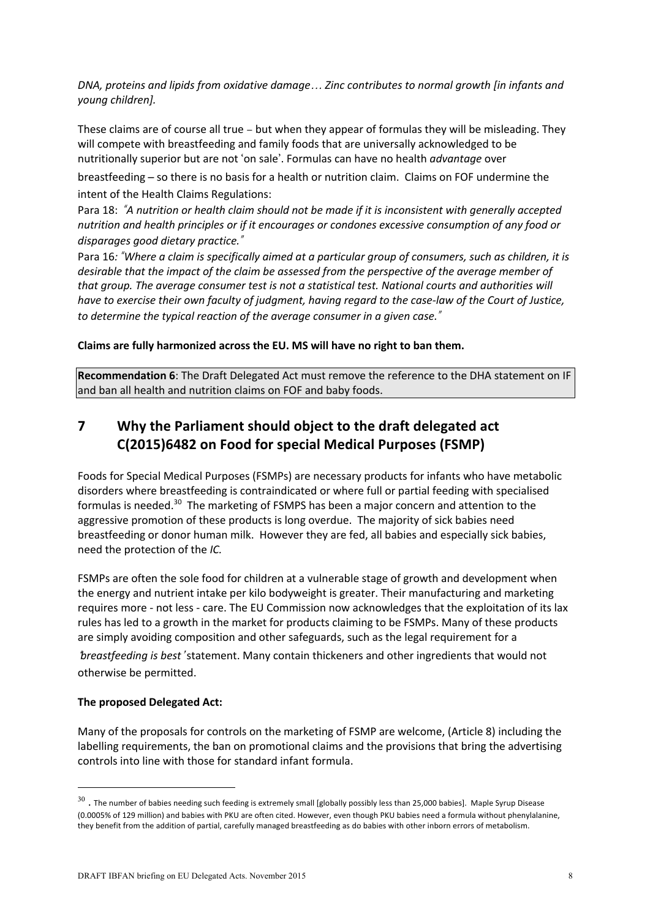*DNA, proteins and lipids from oxidative damage*… *Zinc contributes to normal growth [in infants and young children].*

These claims are of course all true – but when they appear of formulas they will be misleading. They will compete with breastfeeding and family foods that are universally acknowledged to be nutritionally superior but are not 'on sale'. Formulas can have no health *advantage* over

breastfeeding – so there is no basis for a health or nutrition claim. Claims on FOF undermine the intent of the Health Claims Regulations:

Para 18: *"A nutrition or health claim should not be made if it is inconsistent with generally accepted nutrition and health principles or if it encourages or condones excessive consumption of any food or disparages good dietary practice."*

Para 16: "Where a claim is specifically aimed at a particular group of consumers, such as children, it is *desirable that the impact of the claim be assessed from the perspective of the average member of that group. The average consumer test is not a statistical test. National courts and authorities will* have to exercise their own faculty of judgment, having regard to the case-law of the Court of Justice, *to determine the typical reaction of the average consumer in a given case."*

**Claims are fully harmonized across the EU. MS will have no right to ban them.**

**Recommendation 6**: The Draft Delegated Act must remove the reference to the DHA statement on IF and ban all health and nutrition claims on FOF and baby foods.

## **7 Why the Parliament should object to the draft delegated act C(2015)6482 on Food for special Medical Purposes (FSMP)**

Foods for Special Medical Purposes (FSMPs) are necessary products for infants who have metabolic disorders where breastfeeding is contraindicated or where full or partial feeding with specialised formulas is needed.<sup>30</sup> The marketing of FSMPS has been a major concern and attention to the aggressive promotion of these products is long overdue. The majority of sick babies need breastfeeding or donor human milk. However they are fed, all babies and especially sick babies, need the protection of the *IC.*

FSMPs are often the sole food for children at a vulnerable stage of growth and development when the energy and nutrient intake per kilo bodyweight is greater. Their manufacturing and marketing requires more - not less - care. The EU Commission now acknowledges that the exploitation of its lax rules has led to a growth in the market for products claiming to be FSMPs. Many of these products are simply avoiding composition and other safeguards, such as the legal requirement for a

'*breastfeeding is best*' statement. Many contain thickeners and other ingredients that would not otherwise be permitted.

### **The proposed Delegated Act:**

Many of the proposals for controls on the marketing of FSMP are welcome, (Article 8) including the labelling requirements, the ban on promotional claims and the provisions that bring the advertising controls into line with those for standard infant formula.

 $30$ . The number of babies needing such feeding is extremely small [globally possibly less than 25,000 babies]. Maple Syrup Disease (0.0005% of 129 million) and babies with PKU are often cited. However, even though PKU babies need a formula without phenylalanine, they benefit from the addition of partial, carefully managed breastfeeding as do babies with other inborn errors of metabolism.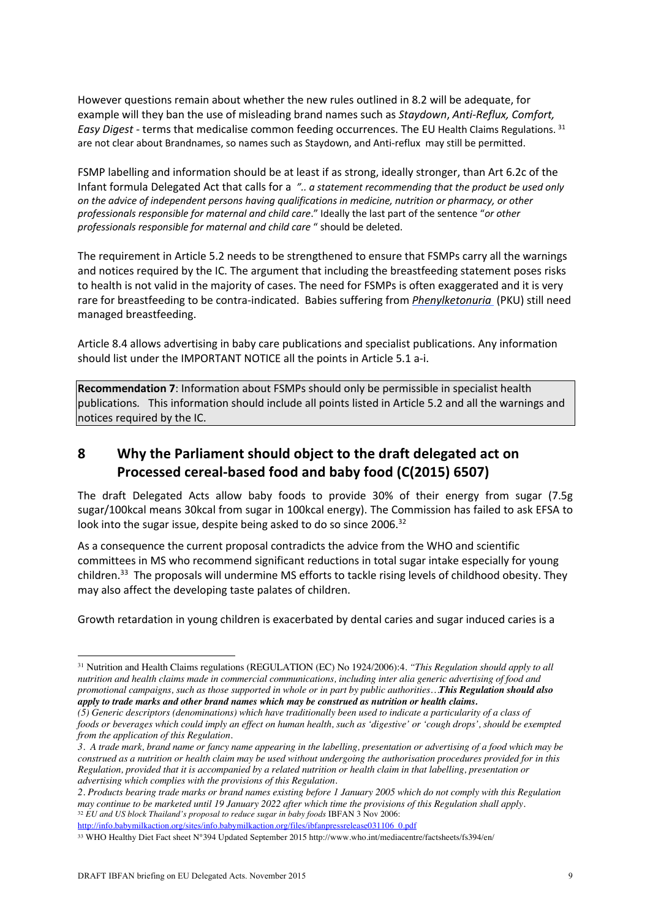However questions remain about whether the new rules outlined in 8.2 will be adequate, for example will they ban the use of misleading brand names such as *Staydown*, *Anti-Reflux, Comfort, Easy Digest -* terms that medicalise common feeding occurrences. The EU Health Claims Regulations. <sup>31</sup> are not clear about Brandnames, so names such as Staydown, and Anti-reflux may still be permitted.

FSMP labelling and information should be at least if as strong, ideally stronger, than Art 6.2c of the Infant formula Delegated Act that calls for a *".. a statement recommending that the product be used only on the advice of independent persons having qualifications in medicine, nutrition or pharmacy, or other professionals responsible for maternal and child care*." Ideally the last part of the sentence "*or other professionals responsible for maternal and child care* " should be deleted.

The requirement in Article 5.2 needs to be strengthened to ensure that FSMPs carry all the warnings and notices required by the IC. The argument that including the breastfeeding statement poses risks to health is not valid in the majority of cases. The need for FSMPs is often exaggerated and it is very rare for breastfeeding to be contra-indicated. Babies suffering from *Phenylketonuria* (PKU) still need managed breastfeeding.

Article 8.4 allows advertising in baby care publications and specialist publications. Any information should list under the IMPORTANT NOTICE all the points in Article 5.1 a-i.

**Recommendation 7**: Information about FSMPs should only be permissible in specialist health publications*.* This information should include all points listed in Article 5.2 and all the warnings and notices required by the IC.

# **8 Why the Parliament should object to the draft delegated act on Processed cereal-based food and baby food (C(2015) 6507)**

The draft Delegated Acts allow baby foods to provide 30% of their energy from sugar (7.5g sugar/100kcal means 30kcal from sugar in 100kcal energy). The Commission has failed to ask EFSA to look into the sugar issue, despite being asked to do so since 2006.<sup>32</sup>

As a consequence the current proposal contradicts the advice from the WHO and scientific committees in MS who recommend significant reductions in total sugar intake especially for young children.<sup>33</sup> The proposals will undermine MS efforts to tackle rising levels of childhood obesity. They may also affect the developing taste palates of children.

Growth retardation in young children is exacerbated by dental caries and sugar induced caries is a

http://info.babymilkaction.org/sites/info.babymilkaction.org/files/ibfanpressrelease031106\_0.pdf

<sup>31</sup> Nutrition and Health Claims regulations (REGULATION (EC) No 1924/2006):4*. "This Regulation should apply to all* nutrition and health claims made in commercial communications, including inter alia generic advertising of food and promotional campaigns, such as those supported in whole or in part by public authorities...This Regulation should also *apply to trade marks and other brand names which may be construed as nutrition or health claims.*

<sup>(5)</sup> Generic descriptors (denominations) which have traditionally been used to indicate a particularity of a class of foods or beverages which could imply an effect on human health, such as 'digestive' or 'cough drops', should be exempted *from the application of this Regulation.*

<sup>3.</sup> A trade mark, brand name or fancy name appearing in the labelling, presentation or advertising of a food which may be construed as a nutrition or health claim may be used without undergoing the authorisation procedures provided for in this Regulation, provided that it is accompanied by a related nutrition or health claim in that labelling, presentation or *advertising which complies with the provisions of this Regulation.*

<sup>2.</sup> Products bearing trade marks or brand names existing before 1 January 2005 which do not comply with this Regulation may continue to be marketed until 19 January 2022 after which time the provisions of this Regulation shall apply. <sup>32</sup> *EU and US block Thailand's proposal to reduce sugar in baby foods* IBFAN 3 Nov 2006:

<sup>33</sup> WHO Healthy Diet Fact sheet N°394 Updated September 2015 http://www.who.int/mediacentre/factsheets/fs394/en/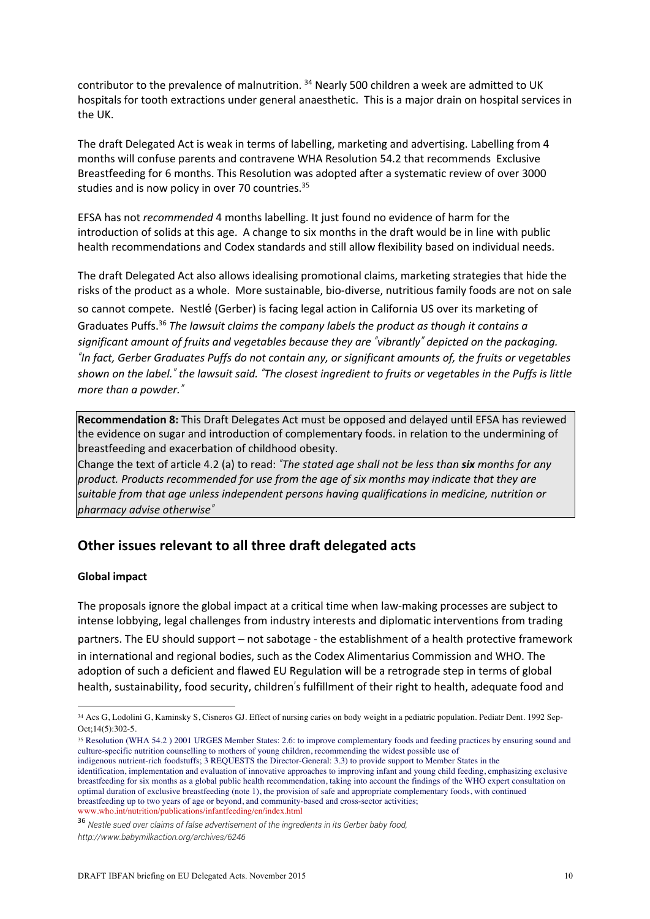contributor to the prevalence of malnutrition.<sup>34</sup> Nearly 500 children a week are admitted to UK hospitals for tooth extractions under general anaesthetic. This is a major drain on hospital services in the UK.

The draft Delegated Act is weak in terms of labelling, marketing and advertising. Labelling from 4 months will confuse parents and contravene WHA Resolution 54.2 that recommends Exclusive Breastfeeding for 6 months. This Resolution was adopted after a systematic review of over 3000 studies and is now policy in over 70 countries.<sup>35</sup>

EFSA has not *recommended* 4 months labelling. It just found no evidence of harm for the introduction of solids at this age. A change to six months in the draft would be in line with public health recommendations and Codex standards and still allow flexibility based on individual needs.

The draft Delegated Act also allows idealising promotional claims, marketing strategies that hide the risks of the product as a whole. More sustainable, bio-diverse, nutritious family foods are not on sale so cannot compete. Nestlé (Gerber) is facing legal action in California US over its marketing of Graduates Puffs.36 *The lawsuit claims the company labels the product as though it contains a significant amount of fruits and vegetables because they are "vibrantly" depicted on the packaging.* "In fact, Gerber Graduates Puffs do not contain any, or significant amounts of, the fruits or vegetables shown on the label." the lawsuit said. "The closest ingredient to fruits or vegetables in the Puffs is little *more than a powder."*

**Recommendation 8:** This Draft Delegates Act must be opposed and delayed until EFSA has reviewed the evidence on sugar and introduction of complementary foods. in relation to the undermining of breastfeeding and exacerbation of childhood obesity.

Change the text of article 4.2 (a) to read: *"The stated age shall not be less than six months for any product. Products recommended for use from the age of six months may indicate that they are suitable from that age unless independent persons having qualifications in medicine, nutrition or pharmacy advise otherwise"*

## **Other issues relevant to all three draft delegated acts**

### **Global impact**

The proposals ignore the global impact at a critical time when law-making processes are subject to intense lobbying, legal challenges from industry interests and diplomatic interventions from trading partners. The EU should support – not sabotage - the establishment of a health protective framework in international and regional bodies, such as the Codex Alimentarius Commission and WHO. The adoption of such a deficient and flawed EU Regulation will be a retrograde step in terms of global health, sustainability, food security, children's fulfillment of their right to health, adequate food and

<sup>35</sup> Resolution (WHA 54.2 ) 2001 URGES Member States: 2.6: to improve complementary foods and feeding practices by ensuring sound and culture-specific nutrition counselling to mothers of young children, recommending the widest possible use of

indigenous nutrient-rich foodstuffs; 3 REQUESTS the Director-General: 3.3) to provide support to Member States in the identification, implementation and evaluation of innovative approaches to improving infant and young child feeding, emphasizing exclusive breastfeeding for six months as a global public health recommendation, taking into account the findings of the WHO expert consultation on optimal duration of exclusive breastfeeding (note 1), the provision of safe and appropriate complementary foods, with continued breastfeeding up to two years of age or beyond, and community-based and cross-sector activities; www.who.int/nutrition/publications/infantfeeding/en/index.html

<sup>36</sup> *Nestle sued over claims of false advertisement of the ingredients in its Gerber baby food,*

<sup>34</sup> Acs G, Lodolini G, Kaminsky S, Cisneros GJ. Effect of nursing caries on body weight in a pediatric population. Pediatr Dent. 1992 Sep- $Oct:14(5):302-5.$ 

*http://www.babymilkaction.org/archives/6246*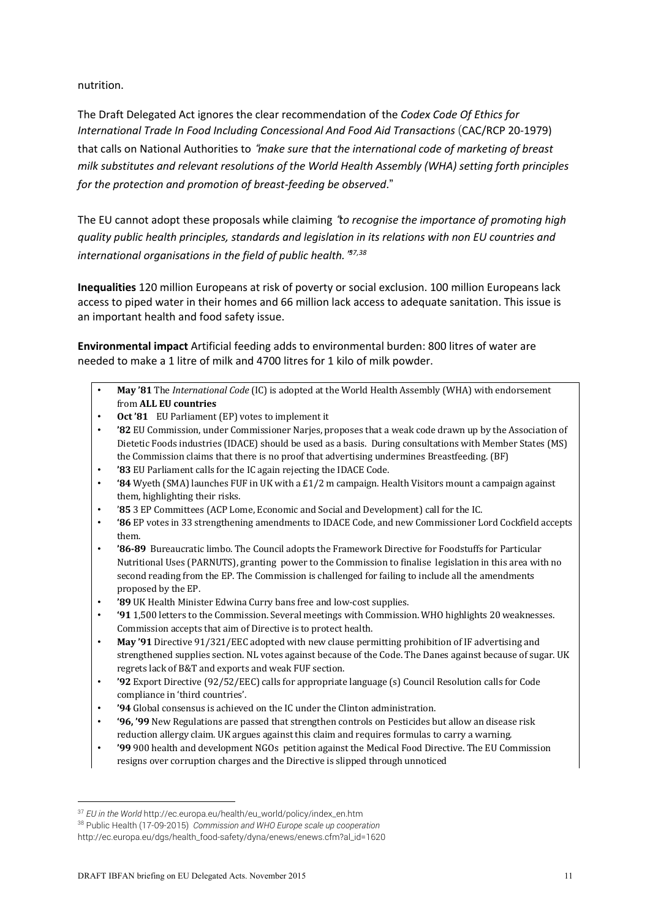nutrition.

The Draft Delegated Act ignores the clear recommendation of the *Codex Code Of Ethics for International Trade In Food Including Concessional And Food Aid Transactions* (CAC/RCP 20-1979) that calls on National Authorities to "*make sure that the international code of marketing of breast milk substitutes and relevant resolutions of the World Health Assembly (WHA) setting forth principles for the protection and promotion of breast-feeding be observed*."

The EU cannot adopt these proposals while claiming "*to recognise the importance of promoting high quality public health principles, standards and legislation in its relations with non EU countries and international organisations in the field of public health.*" *37,38*

**Inequalities** 120 million Europeans at risk of poverty or social exclusion. 100 million Europeans lack access to piped water in their homes and 66 million lack access to adequate sanitation. This issue is an important health and food safety issue.

**Environmental impact** Artificial feeding adds to environmental burden: 800 litres of water are needed to make a 1 litre of milk and 4700 litres for 1 kilo of milk powder.

- **May '81** The *International Code* (IC) is adopted at the World Health Assembly (WHA) with endorsement from **ALL EU countries**
- **Oct '81** EU Parliament (EP) votes to implement it
- **'82** EU Commission, under Commissioner Narjes, proposes that a weak code drawn up by the Association of Dietetic Foods industries (IDACE) should be used as a basis. During consultations with Member States (MS) the Commission claims that there is no proof that advertising undermines Breastfeeding. (BF)
- **'83** EU Parliament calls for the IC again rejecting the IDACE Code.
- **'84** Wyeth (SMA) launches FUF in UK with a £1/2 m campaign. Health Visitors mount a campaign against them, highlighting their risks.
- '**85** 3 EP Committees (ACP Lome, Economic and Social and Development) call for the IC.
- **'86** EP votes in 33 strengthening amendments to IDACE Code, and new Commissioner Lord Cockfield accepts them.
- **'86-89** Bureaucratic limbo. The Council adopts the Framework Directive for Foodstuffs for Particular Nutritional Uses (PARNUTS), granting power to the Commission to finalise legislation in this area with no second reading from the EP. The Commission is challenged for failing to include all the amendments proposed by the EP.
- **'89** UK Health Minister Edwina Curry bans free and low-cost supplies.
- **'91** 1,500 letters to the Commission. Several meetings with Commission. WHO highlights 20 weaknesses. Commission accepts that aim of Directive is to protect health.
- **May '91** Directive 91/321/EEC adopted with new clause permitting prohibition of IF advertising and strengthened supplies section. NL votes against because of the Code. The Danes against because of sugar. UK regrets lack of B&T and exports and weak FUF section.
- **'92** Export Directive (92/52/EEC) calls for appropriate language (s) Council Resolution calls for Code compliance in 'third countries'.
- **'94** Global consensus is achieved on the IC under the Clinton administration.
- **'96, '99** New Regulations are passed that strengthen controls on Pesticides but allow an disease risk reduction allergy claim. UK argues against this claim and requires formulas to carry a warning.
- **'99** 900 health and development NGOs petition against the Medical Food Directive. The EU Commission resigns over corruption charges and the Directive is slipped through unnoticed

<sup>37</sup> *EU in the World* http://ec.europa.eu/health/eu\_world/policy/index\_en.htm

<sup>38</sup> Public Health (17-09-2015) *Commission and WHO Europe scale up cooperation* 

http://ec.europa.eu/dgs/health\_food-safety/dyna/enews/enews.cfm?al\_id=1620